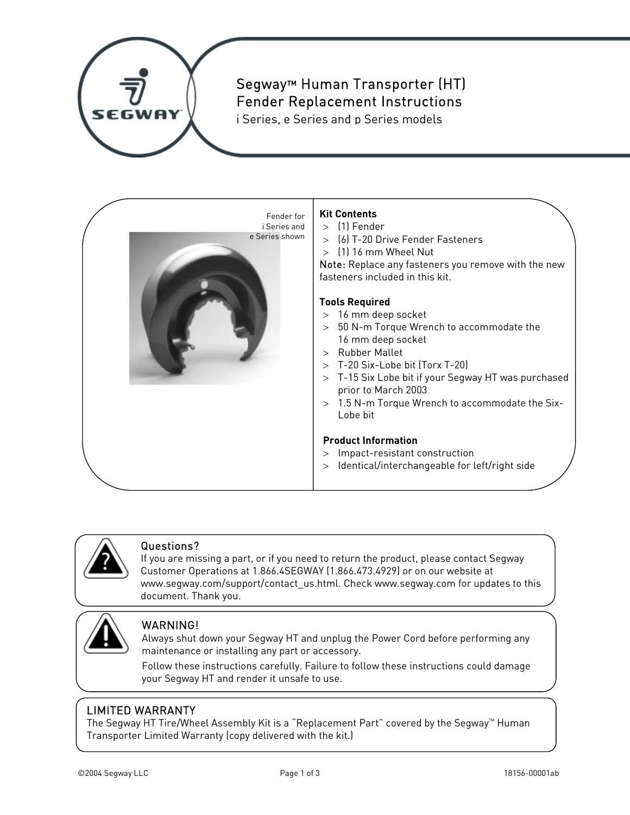

### Segway™ Human Transporter (HT) Fender Replacement Instructions

i Series, e Series and p Series models





#### Questions?

If you are missing a part, or if you need to return the product, please contact Segway Customer Operations at 1.866.4SEGWAY (1.866.473.4929) or on our website at www.segway.com/support/contact\_us.html. Check www.segway.com for updates to this document. Thank you.



#### WARNING!

Always shut down your Segway HT and unplug the Power Cord before performing any maintenance or installing any part or accessory.

Follow these instructions carefully. Failure to follow these instructions could damage your Segway HT and render it unsafe to use.

#### LIMITED WARRANTY

The Segway HT Tire/Wheel Assembly Kit is a "Replacement Part" covered by the Segway $M$  Human Transporter Limited Warranty (copy delivered with the kit.)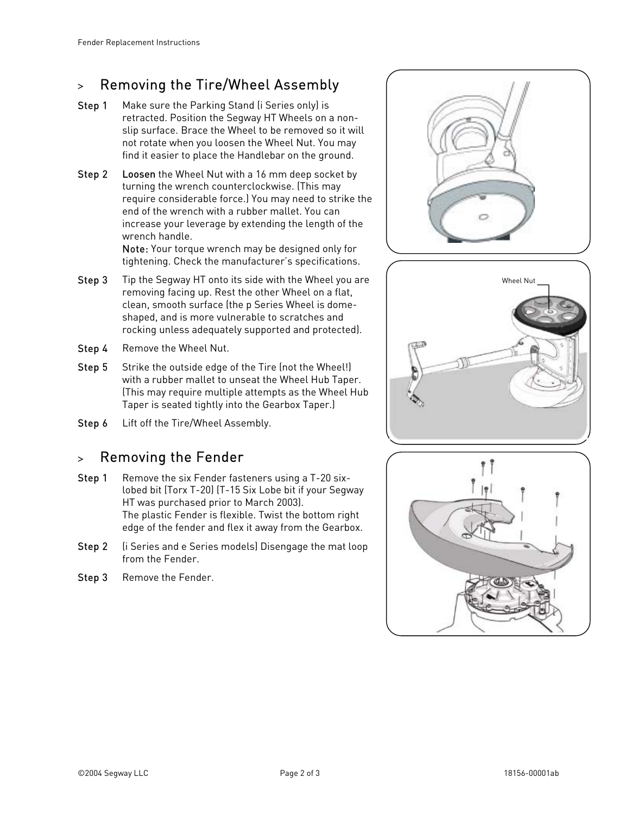# > Removing the Tire/Wheel Assembly

- Step 1 Make sure the Parking Stand (i Series only) is retracted. Position the Segway HT Wheels on a nonslip surface. Brace the Wheel to be removed so it will not rotate when you loosen the Wheel Nut. You may find it easier to place the Handlebar on the ground.
- **Step 2** Loosen the Wheel Nut with a 16 mm deep socket by turning the wrench counterclockwise. (This may require considerable force.) You may need to strike the end of the wrench with a rubber mallet. You can increase your leverage by extending the length of the wrench handle.

Note: Your torque wrench may be designed only for tightening. Check the manufacturer's specifications.

- Step 3 Tip the Segway HT onto its side with the Wheel you are removing facing up. Rest the other Wheel on a flat, clean, smooth surface (the p Series Wheel is domeshaped, and is more vulnerable to scratches and rocking unless adequately supported and protected).
- Step 4 Remove the Wheel Nut.
- Step 5 Strike the outside edge of the Tire (not the Wheel!) with a rubber mallet to unseat the Wheel Hub Taper. (This may require multiple attempts as the Wheel Hub Taper is seated tightly into the Gearbox Taper.)
- Step 6 Lift off the Tire/Wheel Assembly.

# > Removing the Fender

- Step 1 Remove the six Fender fasteners using a T-20 sixlobed bit (Torx T-20) (T-15 Six Lobe bit if your Segway HT was purchased prior to March 2003). The plastic Fender is flexible. Twist the bottom right edge of the fender and flex it away from the Gearbox.
- Step 2 (i Series and e Series models) Disengage the mat loop from the Fender.
- Step 3 Remove the Fender.